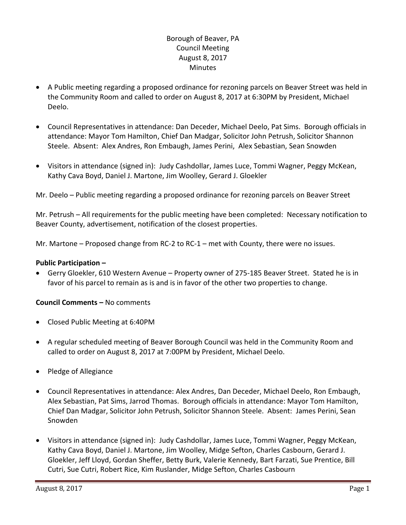# Borough of Beaver, PA Council Meeting August 8, 2017 **Minutes**

- A Public meeting regarding a proposed ordinance for rezoning parcels on Beaver Street was held in the Community Room and called to order on August 8, 2017 at 6:30PM by President, Michael Deelo.
- Council Representatives in attendance: Dan Deceder, Michael Deelo, Pat Sims. Borough officials in attendance: Mayor Tom Hamilton, Chief Dan Madgar, Solicitor John Petrush, Solicitor Shannon Steele. Absent: Alex Andres, Ron Embaugh, James Perini, Alex Sebastian, Sean Snowden
- Visitors in attendance (signed in): Judy Cashdollar, James Luce, Tommi Wagner, Peggy McKean, Kathy Cava Boyd, Daniel J. Martone, Jim Woolley, Gerard J. Gloekler

Mr. Deelo – Public meeting regarding a proposed ordinance for rezoning parcels on Beaver Street

Mr. Petrush – All requirements for the public meeting have been completed: Necessary notification to Beaver County, advertisement, notification of the closest properties.

Mr. Martone – Proposed change from RC-2 to RC-1 – met with County, there were no issues.

### **Public Participation –**

 Gerry Gloekler, 610 Western Avenue – Property owner of 275-185 Beaver Street. Stated he is in favor of his parcel to remain as is and is in favor of the other two properties to change.

# **Council Comments –** No comments

- Closed Public Meeting at 6:40PM
- A regular scheduled meeting of Beaver Borough Council was held in the Community Room and called to order on August 8, 2017 at 7:00PM by President, Michael Deelo.
- Pledge of Allegiance
- Council Representatives in attendance: Alex Andres, Dan Deceder, Michael Deelo, Ron Embaugh, Alex Sebastian, Pat Sims, Jarrod Thomas. Borough officials in attendance: Mayor Tom Hamilton, Chief Dan Madgar, Solicitor John Petrush, Solicitor Shannon Steele. Absent: James Perini, Sean Snowden
- Visitors in attendance (signed in): Judy Cashdollar, James Luce, Tommi Wagner, Peggy McKean, Kathy Cava Boyd, Daniel J. Martone, Jim Woolley, Midge Sefton, Charles Casbourn, Gerard J. Gloekler, Jeff Lloyd, Gordan Sheffer, Betty Burk, Valerie Kennedy, Bart Farzati, Sue Prentice, Bill Cutri, Sue Cutri, Robert Rice, Kim Ruslander, Midge Sefton, Charles Casbourn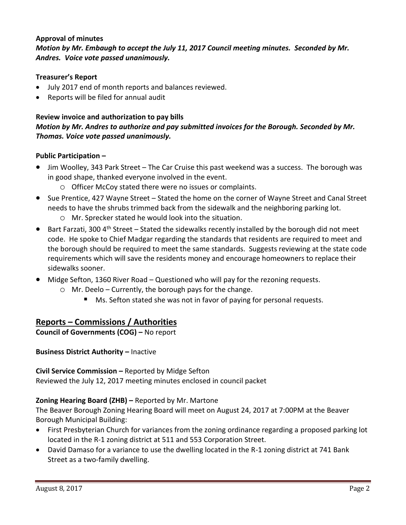# **Approval of minutes**

*Motion by Mr. Embaugh to accept the July 11, 2017 Council meeting minutes. Seconded by Mr. Andres. Voice vote passed unanimously.* 

### **Treasurer's Report**

- July 2017 end of month reports and balances reviewed.
- Reports will be filed for annual audit

# **Review invoice and authorization to pay bills** *Motion by Mr. Andres to authorize and pay submitted invoices for the Borough. Seconded by Mr. Thomas. Voice vote passed unanimously.*

### **Public Participation –**

- Jim Woolley, 343 Park Street The Car Cruise this past weekend was a success. The borough was in good shape, thanked everyone involved in the event.
	- o Officer McCoy stated there were no issues or complaints.
- Sue Prentice, 427 Wayne Street Stated the home on the corner of Wayne Street and Canal Street needs to have the shrubs trimmed back from the sidewalk and the neighboring parking lot. o Mr. Sprecker stated he would look into the situation.
- $\bullet$  Bart Farzati, 300 4<sup>th</sup> Street Stated the sidewalks recently installed by the borough did not meet code. He spoke to Chief Madgar regarding the standards that residents are required to meet and the borough should be required to meet the same standards. Suggests reviewing at the state code requirements which will save the residents money and encourage homeowners to replace their sidewalks sooner.
- Midge Sefton, 1360 River Road Questioned who will pay for the rezoning requests.
	- o Mr. Deelo Currently, the borough pays for the change.
		- Ms. Sefton stated she was not in favor of paying for personal requests.

# **Reports – Commissions / Authorities**

**Council of Governments (COG) –** No report

**Business District Authority –** Inactive

**Civil Service Commission –** Reported by Midge Sefton

Reviewed the July 12, 2017 meeting minutes enclosed in council packet

### **Zoning Hearing Board (ZHB) –** Reported by Mr. Martone

The Beaver Borough Zoning Hearing Board will meet on August 24, 2017 at 7:00PM at the Beaver Borough Municipal Building:

- First Presbyterian Church for variances from the zoning ordinance regarding a proposed parking lot located in the R-1 zoning district at 511 and 553 Corporation Street.
- David Damaso for a variance to use the dwelling located in the R-1 zoning district at 741 Bank Street as a two-family dwelling.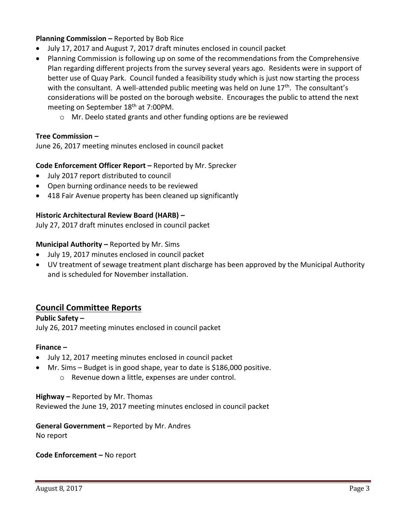# **Planning Commission –** Reported by Bob Rice

- July 17, 2017 and August 7, 2017 draft minutes enclosed in council packet
- Planning Commission is following up on some of the recommendations from the Comprehensive Plan regarding different projects from the survey several years ago. Residents were in support of better use of Quay Park. Council funded a feasibility study which is just now starting the process with the consultant. A well-attended public meeting was held on June  $17<sup>th</sup>$ . The consultant's considerations will be posted on the borough website. Encourages the public to attend the next meeting on September 18<sup>th</sup> at 7:00PM.
	- o Mr. Deelo stated grants and other funding options are be reviewed

### **Tree Commission –**

June 26, 2017 meeting minutes enclosed in council packet

### **Code Enforcement Officer Report –** Reported by Mr. Sprecker

- July 2017 report distributed to council
- Open burning ordinance needs to be reviewed
- 418 Fair Avenue property has been cleaned up significantly

### **Historic Architectural Review Board (HARB) –**

July 27, 2017 draft minutes enclosed in council packet

### **Municipal Authority –** Reported by Mr. Sims

- July 19, 2017 minutes enclosed in council packet
- UV treatment of sewage treatment plant discharge has been approved by the Municipal Authority and is scheduled for November installation.

# **Council Committee Reports**

**Public Safety –** July 26, 2017 meeting minutes enclosed in council packet

### **Finance –**

- July 12, 2017 meeting minutes enclosed in council packet
- Mr. Sims Budget is in good shape, year to date is \$186,000 positive.
	- o Revenue down a little, expenses are under control.

### **Highway –** Reported by Mr. Thomas

Reviewed the June 19, 2017 meeting minutes enclosed in council packet

### **General Government –** Reported by Mr. Andres No report

# **Code Enforcement –** No report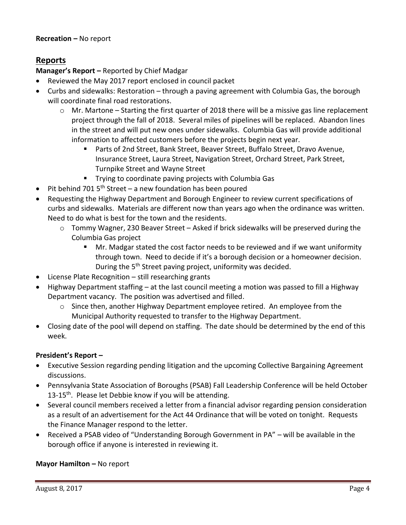# **Reports**

# **Manager's Report –** Reported by Chief Madgar

- Reviewed the May 2017 report enclosed in council packet
- Curbs and sidewalks: Restoration through a paving agreement with Columbia Gas, the borough will coordinate final road restorations.
	- $\circ$  Mr. Martone Starting the first quarter of 2018 there will be a missive gas line replacement project through the fall of 2018. Several miles of pipelines will be replaced. Abandon lines in the street and will put new ones under sidewalks. Columbia Gas will provide additional information to affected customers before the projects begin next year.
		- Parts of 2nd Street, Bank Street, Beaver Street, Buffalo Street, Dravo Avenue, Insurance Street, Laura Street, Navigation Street, Orchard Street, Park Street, Turnpike Street and Wayne Street
		- **Trying to coordinate paving projects with Columbia Gas**
- $\bullet$  Pit behind 701 5<sup>th</sup> Street a new foundation has been poured
- Requesting the Highway Department and Borough Engineer to review current specifications of curbs and sidewalks. Materials are different now than years ago when the ordinance was written. Need to do what is best for the town and the residents.
	- o Tommy Wagner, 230 Beaver Street Asked if brick sidewalks will be preserved during the Columbia Gas project
		- Mr. Madgar stated the cost factor needs to be reviewed and if we want uniformity through town. Need to decide if it's a borough decision or a homeowner decision. During the 5<sup>th</sup> Street paving project, uniformity was decided.
- License Plate Recognition still researching grants
- Highway Department staffing at the last council meeting a motion was passed to fill a Highway Department vacancy. The position was advertised and filled.
	- $\circ$  Since then, another Highway Department employee retired. An employee from the Municipal Authority requested to transfer to the Highway Department.
- Closing date of the pool will depend on staffing. The date should be determined by the end of this week.

# **President's Report –**

- Executive Session regarding pending litigation and the upcoming Collective Bargaining Agreement discussions.
- Pennsylvania State Association of Boroughs (PSAB) Fall Leadership Conference will be held October 13-15<sup>th</sup>. Please let Debbie know if you will be attending.
- Several council members received a letter from a financial advisor regarding pension consideration as a result of an advertisement for the Act 44 Ordinance that will be voted on tonight. Requests the Finance Manager respond to the letter.
- Received a PSAB video of "Understanding Borough Government in PA" will be available in the borough office if anyone is interested in reviewing it.

# **Mayor Hamilton – No report**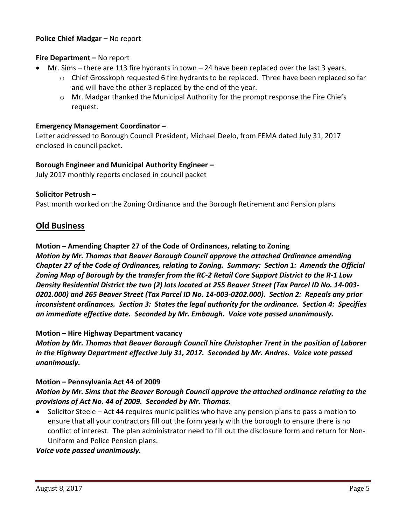### **Police Chief Madgar – No report**

### **Fire Department –** No report

- Mr. Sims there are 113 fire hydrants in town 24 have been replaced over the last 3 years.
	- $\circ$  Chief Grosskoph requested 6 fire hydrants to be replaced. Three have been replaced so far and will have the other 3 replaced by the end of the year.
	- o Mr. Madgar thanked the Municipal Authority for the prompt response the Fire Chiefs request.

### **Emergency Management Coordinator –**

Letter addressed to Borough Council President, Michael Deelo, from FEMA dated July 31, 2017 enclosed in council packet.

### **Borough Engineer and Municipal Authority Engineer –**

July 2017 monthly reports enclosed in council packet

### **Solicitor Petrush –**

Past month worked on the Zoning Ordinance and the Borough Retirement and Pension plans

# **Old Business**

**Motion – Amending Chapter 27 of the Code of Ordinances, relating to Zoning**

*Motion by Mr. Thomas that Beaver Borough Council approve the attached Ordinance amending Chapter 27 of the Code of Ordinances, relating to Zoning. Summary: Section 1: Amends the Official Zoning Map of Borough by the transfer from the RC-2 Retail Core Support District to the R-1 Low Density Residential District the two (2) lots located at 255 Beaver Street (Tax Parcel ID No. 14-003- 0201.000) and 265 Beaver Street (Tax Parcel ID No. 14-003-0202.000). Section 2: Repeals any prior inconsistent ordinances. Section 3: States the legal authority for the ordinance. Section 4: Specifies an immediate effective date. Seconded by Mr. Embaugh. Voice vote passed unanimously.*

### **Motion – Hire Highway Department vacancy**

*Motion by Mr. Thomas that Beaver Borough Council hire Christopher Trent in the position of Laborer in the Highway Department effective July 31, 2017. Seconded by Mr. Andres. Voice vote passed unanimously.*

### **Motion – Pennsylvania Act 44 of 2009**

# *Motion by Mr. Sims that the Beaver Borough Council approve the attached ordinance relating to the provisions of Act No. 44 of 2009. Seconded by Mr. Thomas.*

 Solicitor Steele – Act 44 requires municipalities who have any pension plans to pass a motion to ensure that all your contractors fill out the form yearly with the borough to ensure there is no conflict of interest. The plan administrator need to fill out the disclosure form and return for Non-Uniform and Police Pension plans.

### *Voice vote passed unanimously.*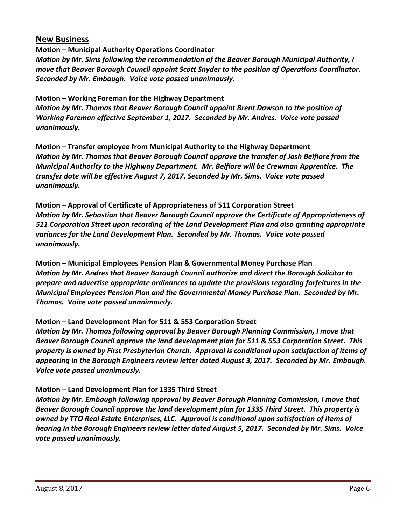# **New Business**

**Motion – Municipal Authority Operations Coordinator** *Motion by Mr. Sims following the recommendation of the Beaver Borough Municipal Authority, I move that Beaver Borough Council appoint Scott Snyder to the position of Operations Coordinator. Seconded by Mr. Embaugh. Voice vote passed unanimously.*

**Motion – Working Foreman for the Highway Department** *Motion by Mr. Thomas that Beaver Borough Council appoint Brent Dawson to the position of Working Foreman effective September 1, 2017. Seconded by Mr. Andres. Voice vote passed unanimously.*

**Motion – Transfer employee from Municipal Authority to the Highway Department** *Motion by Mr. Thomas that Beaver Borough Council approve the transfer of Josh Belfiore from the Municipal Authority to the Highway Department. Mr. Belfiore will be Crewman Apprentice. The transfer date will be effective August 7, 2017. Seconded by Mr. Sims. Voice vote passed unanimously.*

**Motion – Approval of Certificate of Appropriateness of 511 Corporation Street** *Motion by Mr. Sebastian that Beaver Borough Council approve the Certificate of Appropriateness of 511 Corporation Street upon recording of the Land Development Plan and also granting appropriate variances for the Land Development Plan. Seconded by Mr. Thomas. Voice vote passed unanimously.*

**Motion – Municipal Employees Pension Plan & Governmental Money Purchase Plan** *Motion by Mr. Andres that Beaver Borough Council authorize and direct the Borough Solicitor to prepare and advertise appropriate ordinances to update the provisions regarding forfeitures in the Municipal Employees Pension Plan and the Governmental Money Purchase Plan. Seconded by Mr. Thomas. Voice vote passed unanimously.*

# **Motion – Land Development Plan for 511 & 553 Corporation Street**

*Motion by Mr. Thomas following approval by Beaver Borough Planning Commission, I move that Beaver Borough Council approve the land development plan for 511 & 553 Corporation Street. This property is owned by First Presbyterian Church. Approval is conditional upon satisfaction of items of appearing in the Borough Engineers review letter dated August 3, 2017. Seconded by Mr. Embaugh. Voice vote passed unanimously.*

# **Motion – Land Development Plan for 1335 Third Street**

*Motion by Mr. Embaugh following approval by Beaver Borough Planning Commission, I move that Beaver Borough Council approve the land development plan for 1335 Third Street. This property is owned by TTO Real Estate Enterprises, LLC. Approval is conditional upon satisfaction of items of hearing in the Borough Engineers review letter dated August 5, 2017. Seconded by Mr. Sims. Voice vote passed unanimously.*